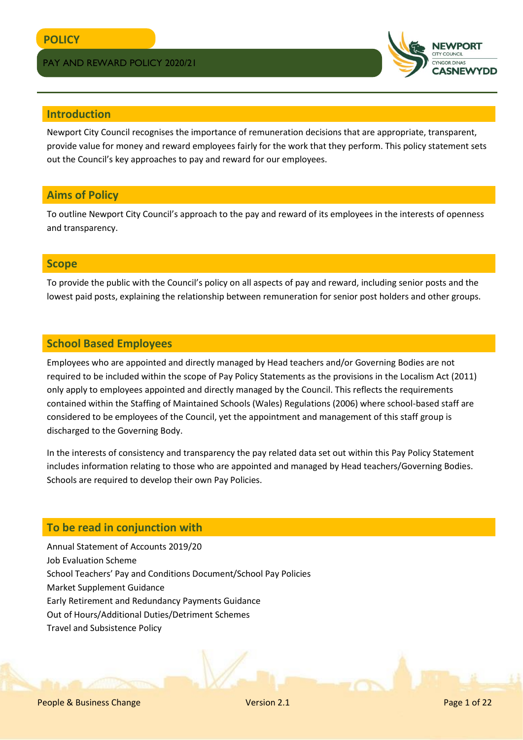

# **Introduction**

Newport City Council recognises the importance of remuneration decisions that are appropriate, transparent, provide value for money and reward employees fairly for the work that they perform. This policy statement sets out the Council's key approaches to pay and reward for our employees.

# **Aims of Policy**

To outline Newport City Council's approach to the pay and reward of its employees in the interests of openness and transparency.

# **Scope**

To provide the public with the Council's policy on all aspects of pay and reward, including senior posts and the lowest paid posts, explaining the relationship between remuneration for senior post holders and other groups.

# **School Based Employees**

Employees who are appointed and directly managed by Head teachers and/or Governing Bodies are not required to be included within the scope of Pay Policy Statements as the provisions in the Localism Act (2011) only apply to employees appointed and directly managed by the Council. This reflects the requirements contained within the Staffing of Maintained Schools (Wales) Regulations (2006) where school-based staff are considered to be employees of the Council, yet the appointment and management of this staff group is discharged to the Governing Body.

In the interests of consistency and transparency the pay related data set out within this Pay Policy Statement includes information relating to those who are appointed and managed by Head teachers/Governing Bodies. Schools are required to develop their own Pay Policies.

# **To be read in conjunction with**

Annual Statement of Accounts 2019/20 Job Evaluation Scheme School Teachers' Pay and Conditions Document/School Pay Policies Market Supplement Guidance Early Retirement and Redundancy Payments Guidance Out of Hours/Additional Duties/Detriment Schemes Travel and Subsistence Policy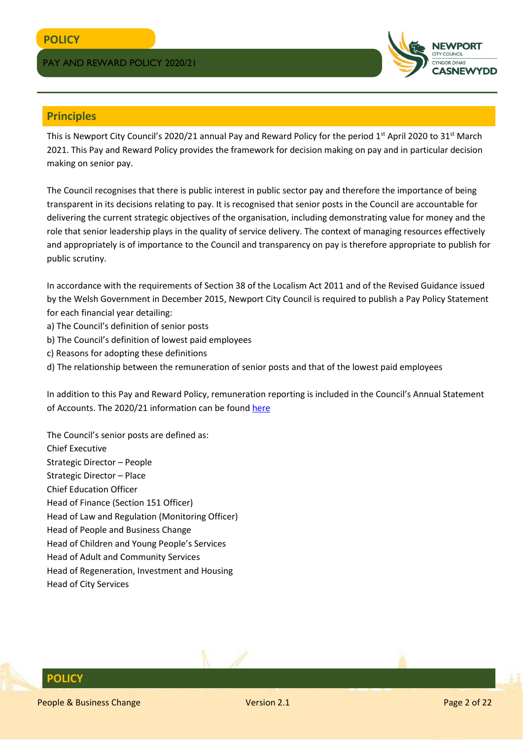

# **Principles**

This is Newport City Council's 2020/21 annual Pay and Reward Policy for the period 1<sup>st</sup> April 2020 to 31<sup>st</sup> March 2021. This Pay and Reward Policy provides the framework for decision making on pay and in particular decision making on senior pay.

The Council recognises that there is public interest in public sector pay and therefore the importance of being transparent in its decisions relating to pay. It is recognised that senior posts in the Council are accountable for delivering the current strategic objectives of the organisation, including demonstrating value for money and the role that senior leadership plays in the quality of service delivery. The context of managing resources effectively and appropriately is of importance to the Council and transparency on pay is therefore appropriate to publish for public scrutiny.

In accordance with the requirements of Section 38 of the Localism Act 2011 and of the Revised Guidance issued by the Welsh Government in December 2015, Newport City Council is required to publish a Pay Policy Statement for each financial year detailing:

- a) The Council's definition of senior posts
- b) The Council's definition of lowest paid employees
- c) Reasons for adopting these definitions
- d) The relationship between the remuneration of senior posts and that of the lowest paid employees

In addition to this Pay and Reward Policy, remuneration reporting is included in the Council's Annual Statement of Accounts. The 2020/21 information can be found [here](http://www.newport.gov.uk/documents/Council-and-Democracy/About-the-council/Finance/2017-18-Financial-Statements-Final-Signed.pdf)

The Council's senior posts are defined as: Chief Executive Strategic Director – People Strategic Director – Place Chief Education Officer Head of Finance (Section 151 Officer) Head of Law and Regulation (Monitoring Officer) Head of People and Business Change Head of Children and Young People's Services Head of Adult and Community Services Head of Regeneration, Investment and Housing Head of City Services

# **POLICY**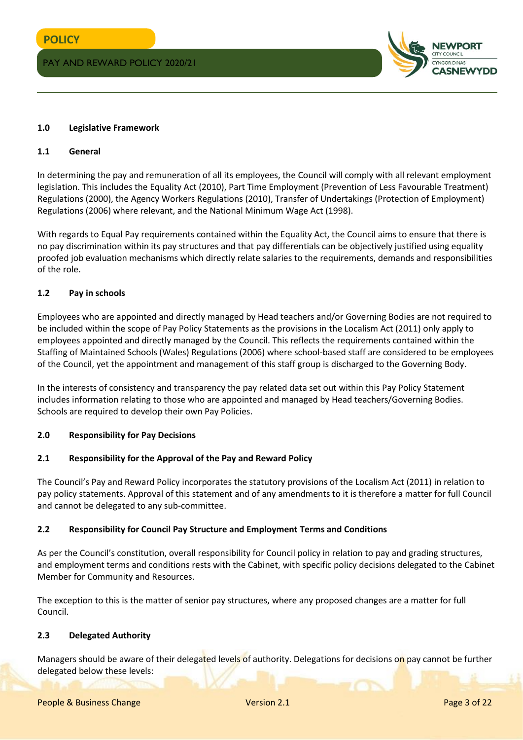

#### **1.0 Legislative Framework**

#### **1.1 General**

In determining the pay and remuneration of all its employees, the Council will comply with all relevant employment legislation. This includes the Equality Act (2010), Part Time Employment (Prevention of Less Favourable Treatment) Regulations (2000), the Agency Workers Regulations (2010), Transfer of Undertakings (Protection of Employment) Regulations (2006) where relevant, and the National Minimum Wage Act (1998).

With regards to Equal Pay requirements contained within the Equality Act, the Council aims to ensure that there is no pay discrimination within its pay structures and that pay differentials can be objectively justified using equality proofed job evaluation mechanisms which directly relate salaries to the requirements, demands and responsibilities of the role.

#### **1.2 Pay in schools**

Employees who are appointed and directly managed by Head teachers and/or Governing Bodies are not required to be included within the scope of Pay Policy Statements as the provisions in the Localism Act (2011) only apply to employees appointed and directly managed by the Council. This reflects the requirements contained within the Staffing of Maintained Schools (Wales) Regulations (2006) where school-based staff are considered to be employees of the Council, yet the appointment and management of this staff group is discharged to the Governing Body.

In the interests of consistency and transparency the pay related data set out within this Pay Policy Statement includes information relating to those who are appointed and managed by Head teachers/Governing Bodies. Schools are required to develop their own Pay Policies.

#### **2.0 Responsibility for Pay Decisions**

#### **2.1 Responsibility for the Approval of the Pay and Reward Policy**

The Council's Pay and Reward Policy incorporates the statutory provisions of the Localism Act (2011) in relation to pay policy statements. Approval of this statement and of any amendments to it is therefore a matter for full Council and cannot be delegated to any sub-committee.

#### **2.2 Responsibility for Council Pay Structure and Employment Terms and Conditions**

As per the Council's constitution, overall responsibility for Council policy in relation to pay and grading structures, and employment terms and conditions rests with the Cabinet, with specific policy decisions delegated to the Cabinet Member for Community and Resources.

The exception to this is the matter of senior pay structures, where any proposed changes are a matter for full Council.

#### **2.3 Delegated Authority**

Managers should be aware of their delegated levels of authority. Delegations for decisions on pay cannot be further delegated below these levels: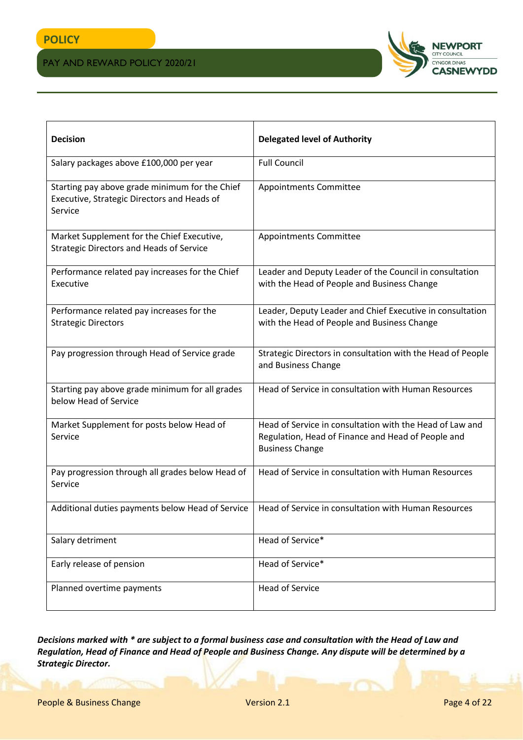

| <b>Decision</b>                                                                                          | <b>Delegated level of Authority</b>                                                                                                      |
|----------------------------------------------------------------------------------------------------------|------------------------------------------------------------------------------------------------------------------------------------------|
| Salary packages above £100,000 per year                                                                  | <b>Full Council</b>                                                                                                                      |
| Starting pay above grade minimum for the Chief<br>Executive, Strategic Directors and Heads of<br>Service | Appointments Committee                                                                                                                   |
| Market Supplement for the Chief Executive,<br><b>Strategic Directors and Heads of Service</b>            | <b>Appointments Committee</b>                                                                                                            |
| Performance related pay increases for the Chief<br>Executive                                             | Leader and Deputy Leader of the Council in consultation<br>with the Head of People and Business Change                                   |
| Performance related pay increases for the<br><b>Strategic Directors</b>                                  | Leader, Deputy Leader and Chief Executive in consultation<br>with the Head of People and Business Change                                 |
| Pay progression through Head of Service grade                                                            | Strategic Directors in consultation with the Head of People<br>and Business Change                                                       |
| Starting pay above grade minimum for all grades<br>below Head of Service                                 | Head of Service in consultation with Human Resources                                                                                     |
| Market Supplement for posts below Head of<br>Service                                                     | Head of Service in consultation with the Head of Law and<br>Regulation, Head of Finance and Head of People and<br><b>Business Change</b> |
| Pay progression through all grades below Head of<br>Service                                              | Head of Service in consultation with Human Resources                                                                                     |
| Additional duties payments below Head of Service                                                         | Head of Service in consultation with Human Resources                                                                                     |
| Salary detriment                                                                                         | Head of Service*                                                                                                                         |
| Early release of pension                                                                                 | Head of Service*                                                                                                                         |
| Planned overtime payments                                                                                | <b>Head of Service</b>                                                                                                                   |

*Decisions marked with \* are subject to a formal business case and consultation with the Head of Law and Regulation, Head of Finance and Head of People and Business Change. Any dispute will be determined by a Strategic Director.*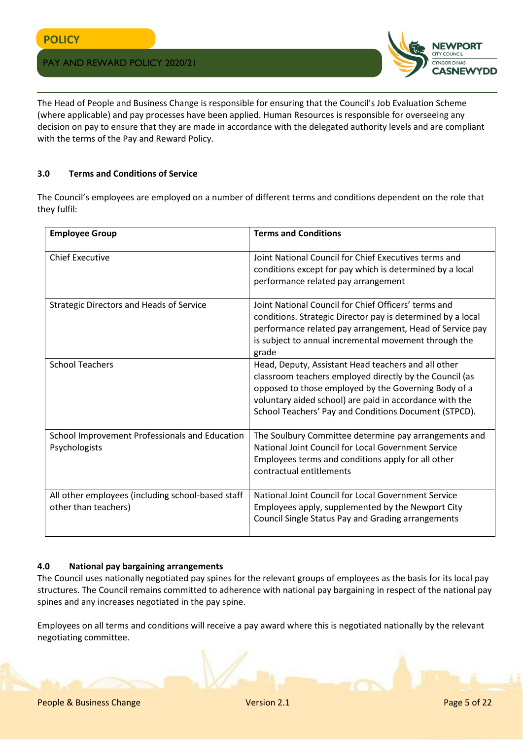

The Head of People and Business Change is responsible for ensuring that the Council's Job Evaluation Scheme (where applicable) and pay processes have been applied. Human Resources is responsible for overseeing any decision on pay to ensure that they are made in accordance with the delegated authority levels and are compliant with the terms of the Pay and Reward Policy.

## **3.0 Terms and Conditions of Service**

The Council's employees are employed on a number of different terms and conditions dependent on the role that they fulfil:

| <b>Employee Group</b>                                                     | <b>Terms and Conditions</b>                                                                                                                                                                                                                                                                |
|---------------------------------------------------------------------------|--------------------------------------------------------------------------------------------------------------------------------------------------------------------------------------------------------------------------------------------------------------------------------------------|
| <b>Chief Executive</b>                                                    | Joint National Council for Chief Executives terms and<br>conditions except for pay which is determined by a local<br>performance related pay arrangement                                                                                                                                   |
| <b>Strategic Directors and Heads of Service</b>                           | Joint National Council for Chief Officers' terms and<br>conditions. Strategic Director pay is determined by a local<br>performance related pay arrangement, Head of Service pay<br>is subject to annual incremental movement through the<br>grade                                          |
| <b>School Teachers</b>                                                    | Head, Deputy, Assistant Head teachers and all other<br>classroom teachers employed directly by the Council (as<br>opposed to those employed by the Governing Body of a<br>voluntary aided school) are paid in accordance with the<br>School Teachers' Pay and Conditions Document (STPCD). |
| School Improvement Professionals and Education<br>Psychologists           | The Soulbury Committee determine pay arrangements and<br>National Joint Council for Local Government Service<br>Employees terms and conditions apply for all other<br>contractual entitlements                                                                                             |
| All other employees (including school-based staff<br>other than teachers) | National Joint Council for Local Government Service<br>Employees apply, supplemented by the Newport City<br>Council Single Status Pay and Grading arrangements                                                                                                                             |

# **4.0 National pay bargaining arrangements**

The Council uses nationally negotiated pay spines for the relevant groups of employees as the basis for its local pay structures. The Council remains committed to adherence with national pay bargaining in respect of the national pay spines and any increases negotiated in the pay spine.

Employees on all terms and conditions will receive a pay award where this is negotiated nationally by the relevant negotiating committee.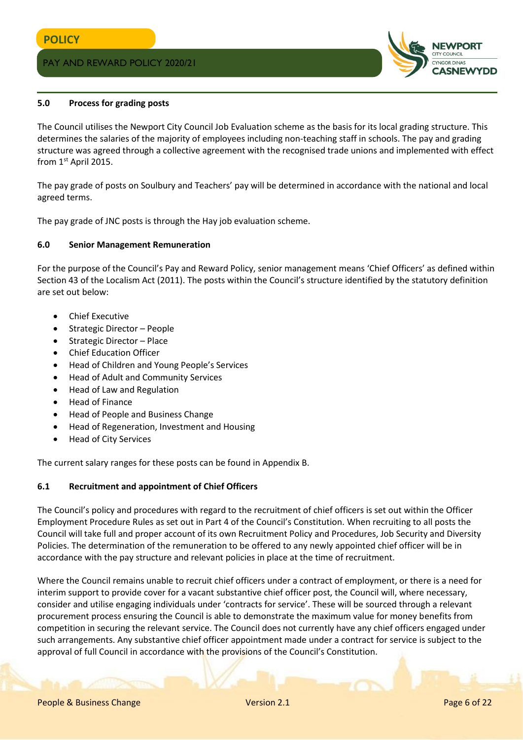

#### **5.0 Process for grading posts**

The Council utilises the Newport City Council Job Evaluation scheme as the basis for its local grading structure. This determines the salaries of the majority of employees including non-teaching staff in schools. The pay and grading structure was agreed through a collective agreement with the recognised trade unions and implemented with effect from 1st April 2015.

The pay grade of posts on Soulbury and Teachers' pay will be determined in accordance with the national and local agreed terms.

The pay grade of JNC posts is through the Hay job evaluation scheme.

#### **6.0 Senior Management Remuneration**

For the purpose of the Council's Pay and Reward Policy, senior management means 'Chief Officers' as defined within Section 43 of the Localism Act (2011). The posts within the Council's structure identified by the statutory definition are set out below:

- Chief Executive
- Strategic Director People
- Strategic Director Place
- Chief Education Officer
- Head of Children and Young People's Services
- Head of Adult and Community Services
- Head of Law and Regulation
- Head of Finance
- Head of People and Business Change
- Head of Regeneration, Investment and Housing
- Head of City Services

The current salary ranges for these posts can be found in Appendix B.

#### **6.1 Recruitment and appointment of Chief Officers**

The Council's policy and procedures with regard to the recruitment of chief officers is set out within the Officer Employment Procedure Rules as set out in Part 4 of the Council's Constitution. When recruiting to all posts the Council will take full and proper account of its own Recruitment Policy and Procedures, Job Security and Diversity Policies. The determination of the remuneration to be offered to any newly appointed chief officer will be in accordance with the pay structure and relevant policies in place at the time of recruitment.

Where the Council remains unable to recruit chief officers under a contract of employment, or there is a need for interim support to provide cover for a vacant substantive chief officer post, the Council will, where necessary, consider and utilise engaging individuals under 'contracts for service'. These will be sourced through a relevant procurement process ensuring the Council is able to demonstrate the maximum value for money benefits from competition in securing the relevant service. The Council does not currently have any chief officers engaged under such arrangements. Any substantive chief officer appointment made under a contract for service is subject to the approval of full Council in accordance with the provisions of the Council's Constitution.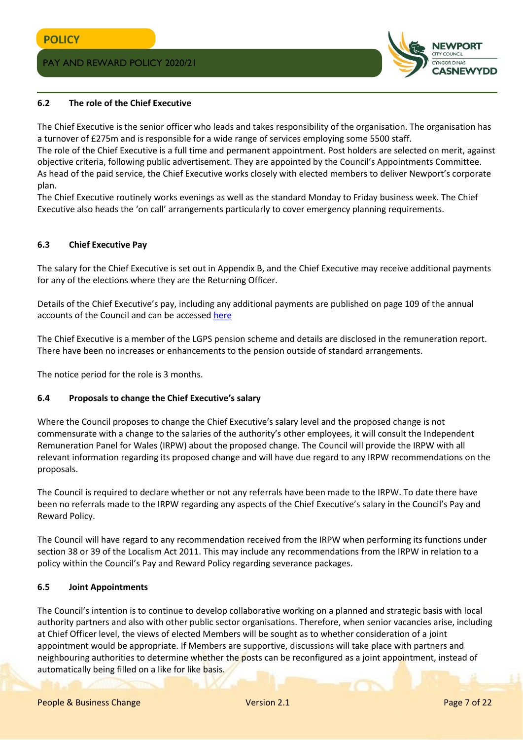

#### **6.2 The role of the Chief Executive**

The Chief Executive is the senior officer who leads and takes responsibility of the organisation. The organisation has a turnover of £275m and is responsible for a wide range of services employing some 5500 staff.

The role of the Chief Executive is a full time and permanent appointment. Post holders are selected on merit, against objective criteria, following public advertisement. They are appointed by the Council's Appointments Committee. As head of the paid service, the Chief Executive works closely with elected members to deliver Newport's corporate plan.

The Chief Executive routinely works evenings as well as the standard Monday to Friday business week. The Chief Executive also heads the 'on call' arrangements particularly to cover emergency planning requirements.

#### **6.3 Chief Executive Pay**

The salary for the Chief Executive is set out in Appendix B, and the Chief Executive may receive additional payments for any of the elections where they are the Returning Officer.

Details of the Chief Executive's pay, including any additional payments are published on page 109 of the annual accounts of the Council and can be accessed [here](http://www.newport.gov.uk/documents/Council-and-Democracy/About-the-council/Finance/2017-18-Financial-Statements-Final-Signed.pdf)

The Chief Executive is a member of the LGPS pension scheme and details are disclosed in the remuneration report. There have been no increases or enhancements to the pension outside of standard arrangements.

The notice period for the role is 3 months.

#### **6.4 Proposals to change the Chief Executive's salary**

Where the Council proposes to change the Chief Executive's salary level and the proposed change is not commensurate with a change to the salaries of the authority's other employees, it will consult the Independent Remuneration Panel for Wales (IRPW) about the proposed change. The Council will provide the IRPW with all relevant information regarding its proposed change and will have due regard to any IRPW recommendations on the proposals.

The Council is required to declare whether or not any referrals have been made to the IRPW. To date there have been no referrals made to the IRPW regarding any aspects of the Chief Executive's salary in the Council's Pay and Reward Policy.

The Council will have regard to any recommendation received from the IRPW when performing its functions under section 38 or 39 of the Localism Act 2011. This may include any recommendations from the IRPW in relation to a policy within the Council's Pay and Reward Policy regarding severance packages.

#### **6.5 Joint Appointments**

The Council's intention is to continue to develop collaborative working on a planned and strategic basis with local authority partners and also with other public sector organisations. Therefore, when senior vacancies arise, including at Chief Officer level, the views of elected Members will be sought as to whether consideration of a joint appointment would be appropriate. If Members are supportive, discussions will take place with partners and neighbouring authorities to determine whether the posts can be reconfigured as a joint appointment, instead of automatically being filled on a like for like basis.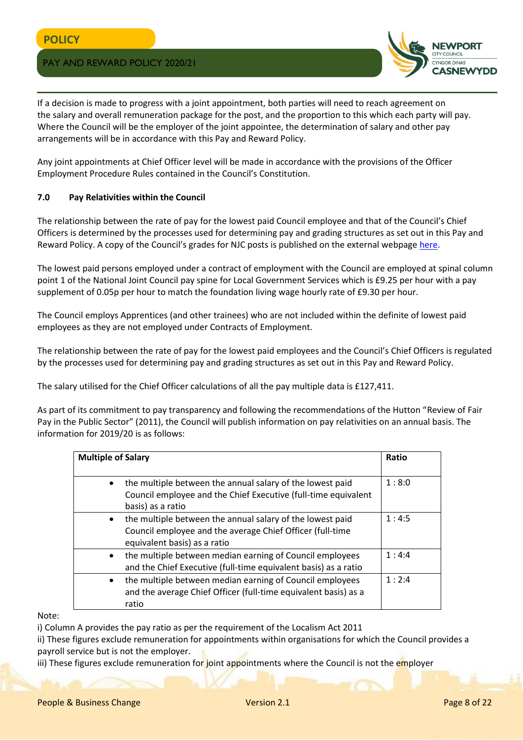

If a decision is made to progress with a joint appointment, both parties will need to reach agreement on the salary and overall remuneration package for the post, and the proportion to this which each party will pay. Where the Council will be the employer of the joint appointee, the determination of salary and other pay arrangements will be in accordance with this Pay and Reward Policy.

Any joint appointments at Chief Officer level will be made in accordance with the provisions of the Officer Employment Procedure Rules contained in the Council's Constitution.

#### **7.0 Pay Relativities within the Council**

The relationship between the rate of pay for the lowest paid Council employee and that of the Council's Chief Officers is determined by the processes used for determining pay and grading structures as set out in this Pay and Reward Policy. A copy of the Council's grades for NJC posts is published on the external webpag[e here.](http://www.newport.gov.uk/documents/Council-and-Democracy/Transparency/Job-grades/Job-Grades-February-2018.pdf)

The lowest paid persons employed under a contract of employment with the Council are employed at spinal column point 1 of the National Joint Council pay spine for Local Government Services which is £9.25 per hour with a pay supplement of 0.05p per hour to match the foundation living wage hourly rate of £9.30 per hour.

The Council employs Apprentices (and other trainees) who are not included within the definite of lowest paid employees as they are not employed under Contracts of Employment.

The relationship between the rate of pay for the lowest paid employees and the Council's Chief Officers is regulated by the processes used for determining pay and grading structures as set out in this Pay and Reward Policy.

The salary utilised for the Chief Officer calculations of all the pay multiple data is £127,411.

As part of its commitment to pay transparency and following the recommendations of the Hutton "Review of Fair Pay in the Public Sector" (2011), the Council will publish information on pay relativities on an annual basis. The information for 2019/20 is as follows:

| <b>Multiple of Salary</b> |                                                                                                                                                        | Ratio |
|---------------------------|--------------------------------------------------------------------------------------------------------------------------------------------------------|-------|
| $\bullet$                 | the multiple between the annual salary of the lowest paid<br>Council employee and the Chief Executive (full-time equivalent<br>basis) as a ratio       | 1:8:0 |
| $\bullet$                 | the multiple between the annual salary of the lowest paid<br>Council employee and the average Chief Officer (full-time<br>equivalent basis) as a ratio | 1:4:5 |
| $\bullet$                 | the multiple between median earning of Council employees<br>and the Chief Executive (full-time equivalent basis) as a ratio                            | 1:4:4 |
| $\bullet$                 | the multiple between median earning of Council employees<br>and the average Chief Officer (full-time equivalent basis) as a<br>ratio                   | 1:2:4 |

Note:

i) Column A provides the pay ratio as per the requirement of the Localism Act 2011

ii) These figures exclude remuneration for appointments within organisations for which the Council provides a payroll service but is not the employer.

iii) These figures exclude remuneration for joint appointments where the Council is not the employer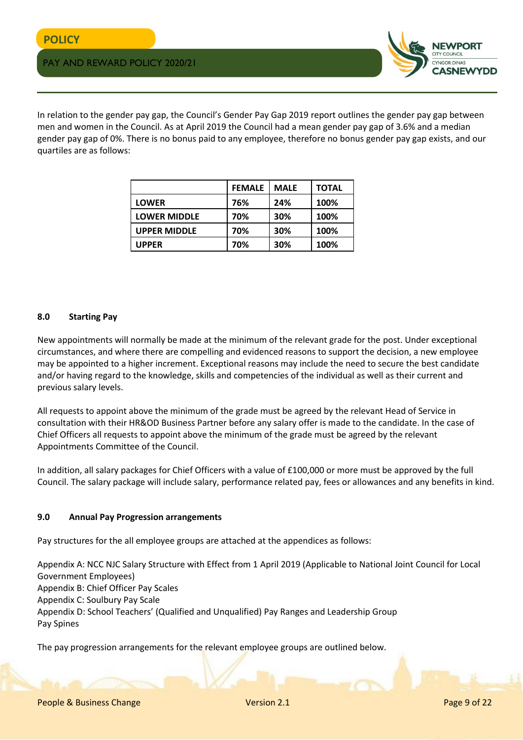

In relation to the gender pay gap, the Council's Gender Pay Gap 2019 report outlines the gender pay gap between men and women in the Council. As at April 2019 the Council had a mean gender pay gap of 3.6% and a median gender pay gap of 0%. There is no bonus paid to any employee, therefore no bonus gender pay gap exists, and our quartiles are as follows:

|                     | <b>FEMALE</b> | <b>MALE</b> | <b>TOTAL</b> |
|---------------------|---------------|-------------|--------------|
| <b>LOWER</b>        | 76%           | 24%         | 100%         |
| <b>LOWER MIDDLE</b> | 70%           | 30%         | 100%         |
| <b>UPPER MIDDLE</b> | 70%           | 30%         | 100%         |
| <b>UPPER</b>        | 70%           | 30%         | 100%         |

## **8.0 Starting Pay**

New appointments will normally be made at the minimum of the relevant grade for the post. Under exceptional circumstances, and where there are compelling and evidenced reasons to support the decision, a new employee may be appointed to a higher increment. Exceptional reasons may include the need to secure the best candidate and/or having regard to the knowledge, skills and competencies of the individual as well as their current and previous salary levels.

All requests to appoint above the minimum of the grade must be agreed by the relevant Head of Service in consultation with their HR&OD Business Partner before any salary offer is made to the candidate. In the case of Chief Officers all requests to appoint above the minimum of the grade must be agreed by the relevant Appointments Committee of the Council.

In addition, all salary packages for Chief Officers with a value of £100,000 or more must be approved by the full Council. The salary package will include salary, performance related pay, fees or allowances and any benefits in kind.

#### **9.0 Annual Pay Progression arrangements**

Pay structures for the all employee groups are attached at the appendices as follows:

Appendix A: NCC NJC Salary Structure with Effect from 1 April 2019 (Applicable to National Joint Council for Local Government Employees) Appendix B: Chief Officer Pay Scales Appendix C: Soulbury Pay Scale Appendix D: School Teachers' (Qualified and Unqualified) Pay Ranges and Leadership Group Pay Spines

The pay progression arrangements for the relevant employee groups are outlined below.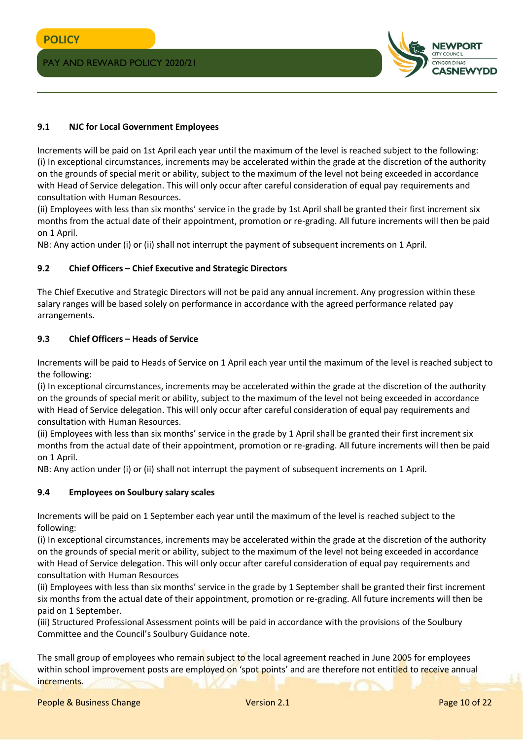

## **9.1 NJC for Local Government Employees**

Increments will be paid on 1st April each year until the maximum of the level is reached subject to the following: (i) In exceptional circumstances, increments may be accelerated within the grade at the discretion of the authority on the grounds of special merit or ability, subject to the maximum of the level not being exceeded in accordance with Head of Service delegation. This will only occur after careful consideration of equal pay requirements and consultation with Human Resources.

(ii) Employees with less than six months' service in the grade by 1st April shall be granted their first increment six months from the actual date of their appointment, promotion or re-grading. All future increments will then be paid on 1 April.

NB: Any action under (i) or (ii) shall not interrupt the payment of subsequent increments on 1 April.

## **9.2 Chief Officers – Chief Executive and Strategic Directors**

The Chief Executive and Strategic Directors will not be paid any annual increment. Any progression within these salary ranges will be based solely on performance in accordance with the agreed performance related pay arrangements.

## **9.3 Chief Officers – Heads of Service**

Increments will be paid to Heads of Service on 1 April each year until the maximum of the level is reached subject to the following:

(i) In exceptional circumstances, increments may be accelerated within the grade at the discretion of the authority on the grounds of special merit or ability, subject to the maximum of the level not being exceeded in accordance with Head of Service delegation. This will only occur after careful consideration of equal pay requirements and consultation with Human Resources.

(ii) Employees with less than six months' service in the grade by 1 April shall be granted their first increment six months from the actual date of their appointment, promotion or re-grading. All future increments will then be paid on 1 April.

NB: Any action under (i) or (ii) shall not interrupt the payment of subsequent increments on 1 April.

#### **9.4 Employees on Soulbury salary scales**

Increments will be paid on 1 September each year until the maximum of the level is reached subject to the following:

(i) In exceptional circumstances, increments may be accelerated within the grade at the discretion of the authority on the grounds of special merit or ability, subject to the maximum of the level not being exceeded in accordance with Head of Service delegation. This will only occur after careful consideration of equal pay requirements and consultation with Human Resources

(ii) Employees with less than six months' service in the grade by 1 September shall be granted their first increment six months from the actual date of their appointment, promotion or re-grading. All future increments will then be paid on 1 September.

(iii) Structured Professional Assessment points will be paid in accordance with the provisions of the Soulbury Committee and the Council's Soulbury Guidance note.

The small group of employees who remain subject to the local agreement reached in June 2005 for employees within school improvement posts are employed on 'spot points' and are therefore not entitled to receive annual increments.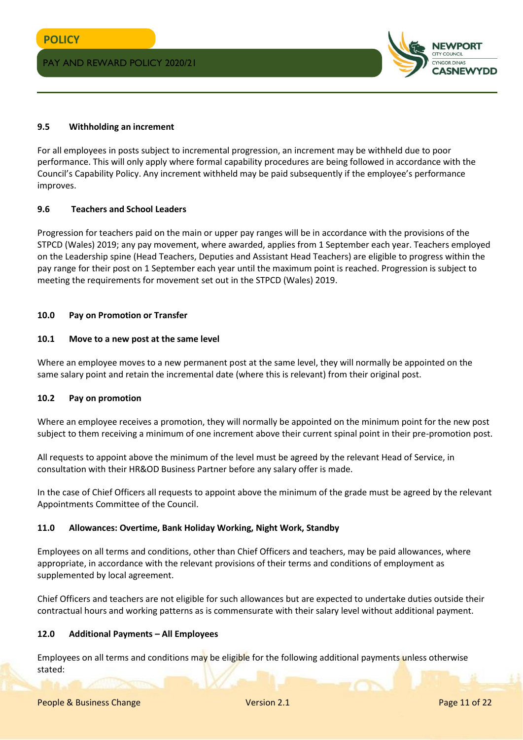

#### **9.5 Withholding an increment**

For all employees in posts subject to incremental progression, an increment may be withheld due to poor performance. This will only apply where formal capability procedures are being followed in accordance with the Council's Capability Policy. Any increment withheld may be paid subsequently if the employee's performance improves.

#### **9.6 Teachers and School Leaders**

Progression for teachers paid on the main or upper pay ranges will be in accordance with the provisions of the STPCD (Wales) 2019; any pay movement, where awarded, applies from 1 September each year. Teachers employed on the Leadership spine (Head Teachers, Deputies and Assistant Head Teachers) are eligible to progress within the pay range for their post on 1 September each year until the maximum point is reached. Progression is subject to meeting the requirements for movement set out in the STPCD (Wales) 2019.

#### **10.0 Pay on Promotion or Transfer**

#### **10.1 Move to a new post at the same level**

Where an employee moves to a new permanent post at the same level, they will normally be appointed on the same salary point and retain the incremental date (where this is relevant) from their original post.

#### **10.2 Pay on promotion**

Where an employee receives a promotion, they will normally be appointed on the minimum point for the new post subject to them receiving a minimum of one increment above their current spinal point in their pre-promotion post.

All requests to appoint above the minimum of the level must be agreed by the relevant Head of Service, in consultation with their HR&OD Business Partner before any salary offer is made.

In the case of Chief Officers all requests to appoint above the minimum of the grade must be agreed by the relevant Appointments Committee of the Council.

#### **11.0 Allowances: Overtime, Bank Holiday Working, Night Work, Standby**

Employees on all terms and conditions, other than Chief Officers and teachers, may be paid allowances, where appropriate, in accordance with the relevant provisions of their terms and conditions of employment as supplemented by local agreement.

Chief Officers and teachers are not eligible for such allowances but are expected to undertake duties outside their contractual hours and working patterns as is commensurate with their salary level without additional payment.

#### **12.0 Additional Payments – All Employees**

Employees on all terms and conditions may be eligible for the following additional payments unless otherwise stated: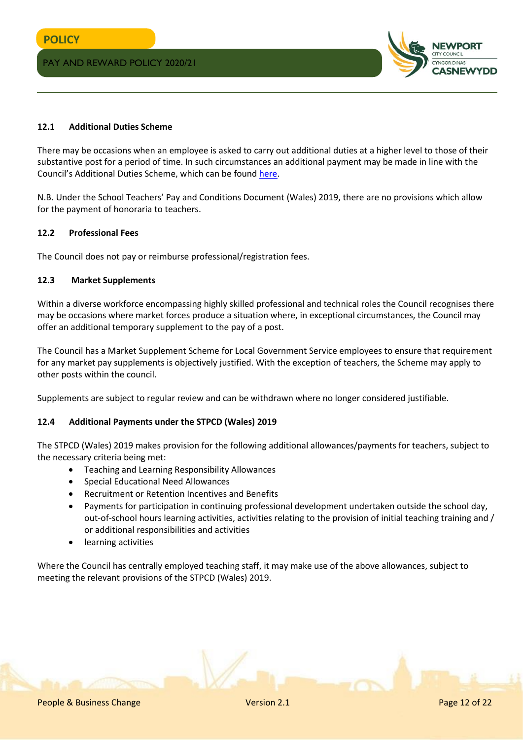

## **12.1 Additional Duties Scheme**

There may be occasions when an employee is asked to carry out additional duties at a higher level to those of their substantive post for a period of time. In such circumstances an additional payment may be made in line with the Council's Additional Duties Scheme, which can be found [here.](http://www.newport.gov.uk/documents/Policies/HR-Additional-Duties-Scheme.pdf)

N.B. Under the School Teachers' Pay and Conditions Document (Wales) 2019, there are no provisions which allow for the payment of honoraria to teachers.

#### **12.2 Professional Fees**

The Council does not pay or reimburse professional/registration fees.

## **12.3 Market Supplements**

Within a diverse workforce encompassing highly skilled professional and technical roles the Council recognises there may be occasions where market forces produce a situation where, in exceptional circumstances, the Council may offer an additional temporary supplement to the pay of a post.

The Council has a Market Supplement Scheme for Local Government Service employees to ensure that requirement for any market pay supplements is objectively justified. With the exception of teachers, the Scheme may apply to other posts within the council.

Supplements are subject to regular review and can be withdrawn where no longer considered justifiable.

#### **12.4 Additional Payments under the STPCD (Wales) 2019**

The STPCD (Wales) 2019 makes provision for the following additional allowances/payments for teachers, subject to the necessary criteria being met:

- Teaching and Learning Responsibility Allowances
- Special Educational Need Allowances
- Recruitment or Retention Incentives and Benefits
- Payments for participation in continuing professional development undertaken outside the school day, out-of-school hours learning activities, activities relating to the provision of initial teaching training and / or additional responsibilities and activities
- learning activities

Where the Council has centrally employed teaching staff, it may make use of the above allowances, subject to meeting the relevant provisions of the STPCD (Wales) 2019.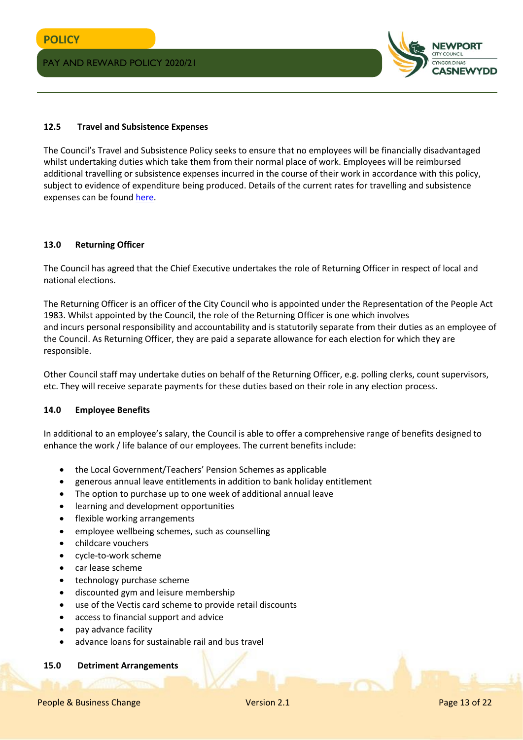

#### **12.5 Travel and Subsistence Expenses**

The Council's Travel and Subsistence Policy seeks to ensure that no employees will be financially disadvantaged whilst undertaking duties which take them from their normal place of work. Employees will be reimbursed additional travelling or subsistence expenses incurred in the course of their work in accordance with this policy, subject to evidence of expenditure being produced. Details of the current rates for travelling and subsistence expenses can be foun[d here.](http://www.newport.gov.uk/documents/Policies/HR-Travel-and-Subsistence-Policy.pdf)

#### **13.0 Returning Officer**

The Council has agreed that the Chief Executive undertakes the role of Returning Officer in respect of local and national elections.

The Returning Officer is an officer of the City Council who is appointed under the Representation of the People Act 1983. Whilst appointed by the Council, the role of the Returning Officer is one which involves and incurs personal responsibility and accountability and is statutorily separate from their duties as an employee of the Council. As Returning Officer, they are paid a separate allowance for each election for which they are responsible.

Other Council staff may undertake duties on behalf of the Returning Officer, e.g. polling clerks, count supervisors, etc. They will receive separate payments for these duties based on their role in any election process.

#### **14.0 Employee Benefits**

In additional to an employee's salary, the Council is able to offer a comprehensive range of benefits designed to enhance the work / life balance of our employees. The current benefits include:

- the Local Government/Teachers' Pension Schemes as applicable
- generous annual leave entitlements in addition to bank holiday entitlement
- The option to purchase up to one week of additional annual leave
- learning and development opportunities
- flexible working arrangements
- employee wellbeing schemes, such as counselling
- childcare vouchers
- cycle-to-work scheme
- car lease scheme
- technology purchase scheme
- discounted gym and leisure membership
- use of the Vectis card scheme to provide retail discounts
- access to financial support and advice
- pay advance facility
- advance loans for sustainable rail and bus travel

#### **15.0 Detriment Arrangements**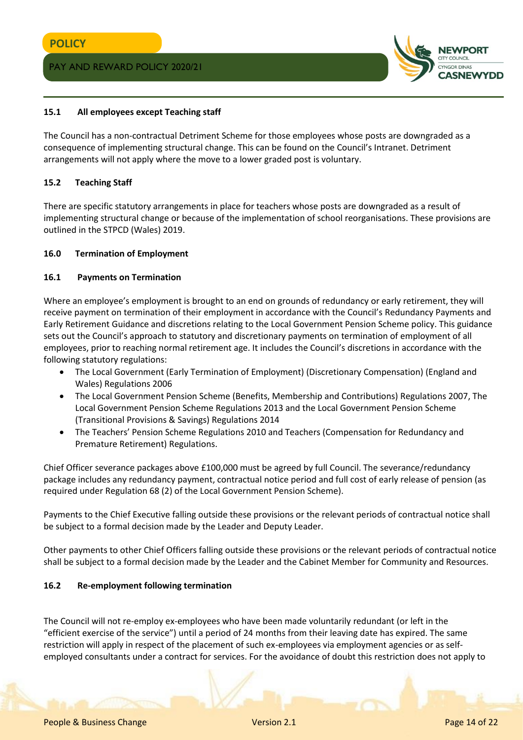

## **15.1 All employees except Teaching staff**

The Council has a non-contractual Detriment Scheme for those employees whose posts are downgraded as a consequence of implementing structural change. This can be found on the Council's Intranet. Detriment arrangements will not apply where the move to a lower graded post is voluntary.

#### **15.2 Teaching Staff**

There are specific statutory arrangements in place for teachers whose posts are downgraded as a result of implementing structural change or because of the implementation of school reorganisations. These provisions are outlined in the STPCD (Wales) 2019.

#### **16.0 Termination of Employment**

#### **16.1 Payments on Termination**

Where an employee's employment is brought to an end on grounds of redundancy or early retirement, they will receive payment on termination of their employment in accordance with the Council's Redundancy Payments and Early Retirement Guidance and discretions relating to the Local Government Pension Scheme policy. This guidance sets out the Council's approach to statutory and discretionary payments on termination of employment of all employees, prior to reaching normal retirement age. It includes the Council's discretions in accordance with the following statutory regulations:

- The Local Government (Early Termination of Employment) (Discretionary Compensation) (England and Wales) Regulations 2006
- The Local Government Pension Scheme (Benefits, Membership and Contributions) Regulations 2007, The Local Government Pension Scheme Regulations 2013 and the Local Government Pension Scheme (Transitional Provisions & Savings) Regulations 2014
- The Teachers' Pension Scheme Regulations 2010 and Teachers (Compensation for Redundancy and Premature Retirement) Regulations.

Chief Officer severance packages above £100,000 must be agreed by full Council. The severance/redundancy package includes any redundancy payment, contractual notice period and full cost of early release of pension (as required under Regulation 68 (2) of the Local Government Pension Scheme).

Payments to the Chief Executive falling outside these provisions or the relevant periods of contractual notice shall be subject to a formal decision made by the Leader and Deputy Leader.

Other payments to other Chief Officers falling outside these provisions or the relevant periods of contractual notice shall be subject to a formal decision made by the Leader and the Cabinet Member for Community and Resources.

#### **16.2 Re-employment following termination**

The Council will not re-employ ex-employees who have been made voluntarily redundant (or left in the "efficient exercise of the service") until a period of 24 months from their leaving date has expired. The same restriction will apply in respect of the placement of such ex-employees via employment agencies or as selfemployed consultants under a contract for services. For the avoidance of doubt this restriction does not apply to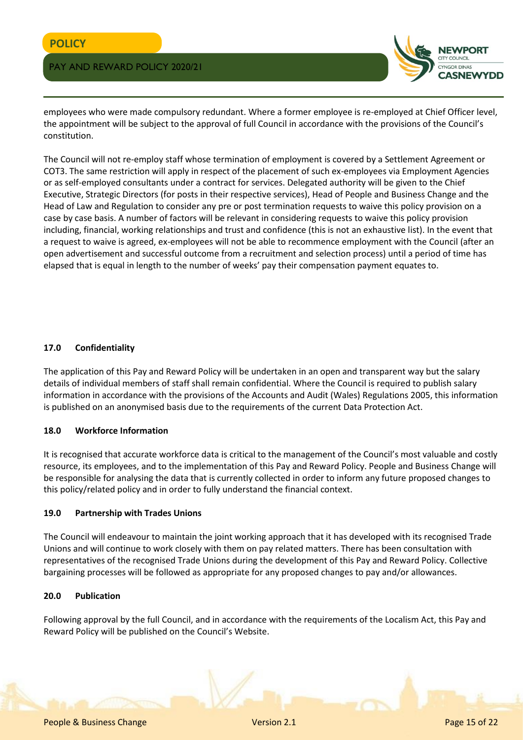

employees who were made compulsory redundant. Where a former employee is re-employed at Chief Officer level, the appointment will be subject to the approval of full Council in accordance with the provisions of the Council's constitution.

The Council will not re-employ staff whose termination of employment is covered by a Settlement Agreement or COT3. The same restriction will apply in respect of the placement of such ex-employees via Employment Agencies or as self-employed consultants under a contract for services. Delegated authority will be given to the Chief Executive, Strategic Directors (for posts in their respective services), Head of People and Business Change and the Head of Law and Regulation to consider any pre or post termination requests to waive this policy provision on a case by case basis. A number of factors will be relevant in considering requests to waive this policy provision including, financial, working relationships and trust and confidence (this is not an exhaustive list). In the event that a request to waive is agreed, ex-employees will not be able to recommence employment with the Council (after an open advertisement and successful outcome from a recruitment and selection process) until a period of time has elapsed that is equal in length to the number of weeks' pay their compensation payment equates to.

# **17.0 Confidentiality**

The application of this Pay and Reward Policy will be undertaken in an open and transparent way but the salary details of individual members of staff shall remain confidential. Where the Council is required to publish salary information in accordance with the provisions of the Accounts and Audit (Wales) Regulations 2005, this information is published on an anonymised basis due to the requirements of the current Data Protection Act.

#### **18.0 Workforce Information**

It is recognised that accurate workforce data is critical to the management of the Council's most valuable and costly resource, its employees, and to the implementation of this Pay and Reward Policy. People and Business Change will be responsible for analysing the data that is currently collected in order to inform any future proposed changes to this policy/related policy and in order to fully understand the financial context.

#### **19.0 Partnership with Trades Unions**

The Council will endeavour to maintain the joint working approach that it has developed with its recognised Trade Unions and will continue to work closely with them on pay related matters. There has been consultation with representatives of the recognised Trade Unions during the development of this Pay and Reward Policy. Collective bargaining processes will be followed as appropriate for any proposed changes to pay and/or allowances.

# **20.0 Publication**

Following approval by the full Council, and in accordance with the requirements of the Localism Act, this Pay and Reward Policy will be published on the Council's Website.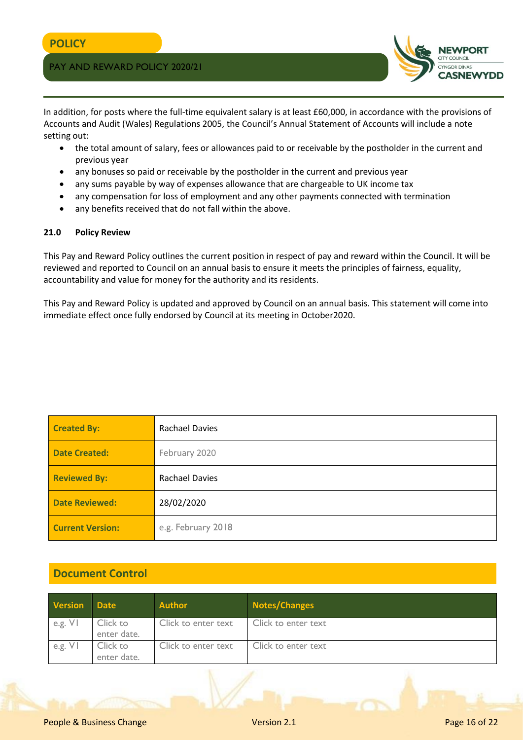

In addition, for posts where the full-time equivalent salary is at least £60,000, in accordance with the provisions of Accounts and Audit (Wales) Regulations 2005, the Council's Annual Statement of Accounts will include a note setting out:

- the total amount of salary, fees or allowances paid to or receivable by the postholder in the current and previous year
- any bonuses so paid or receivable by the postholder in the current and previous year
- any sums payable by way of expenses allowance that are chargeable to UK income tax
- any compensation for loss of employment and any other payments connected with termination
- any benefits received that do not fall within the above.

#### **21.0 Policy Review**

This Pay and Reward Policy outlines the current position in respect of pay and reward within the Council. It will be reviewed and reported to Council on an annual basis to ensure it meets the principles of fairness, equality, accountability and value for money for the authority and its residents.

This Pay and Reward Policy is updated and approved by Council on an annual basis. This statement will come into immediate effect once fully endorsed by Council at its meeting in October2020.

| <b>Created By:</b>      | <b>Rachael Davies</b> |
|-------------------------|-----------------------|
| <b>Date Created:</b>    | February 2020         |
| <b>Reviewed By:</b>     | <b>Rachael Davies</b> |
| <b>Date Reviewed:</b>   | 28/02/2020            |
| <b>Current Version:</b> | e.g. February 2018    |

# **Document Control**

| <b>Version</b> Date |                         | <b>Author</b>       | Notes/Changes       |
|---------------------|-------------------------|---------------------|---------------------|
| e.g. $V$            | Click to<br>enter date. | Click to enter text | Click to enter text |
| e.g. VI             | Click to<br>enter date. | Click to enter text | Click to enter text |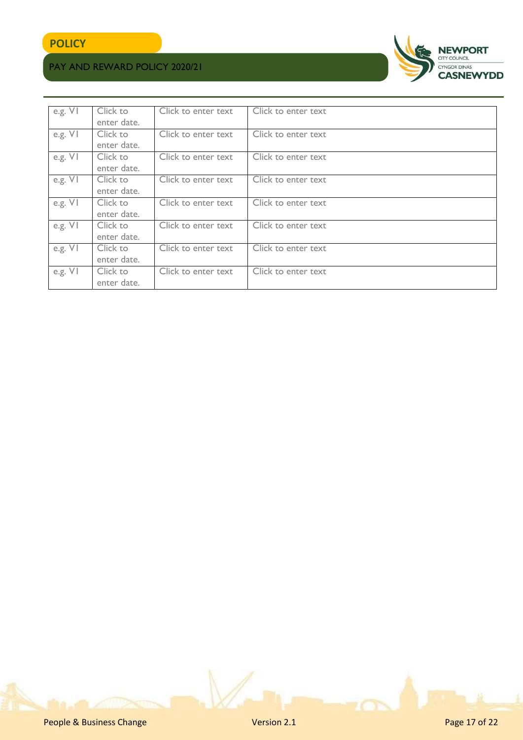

| e.g. $V$  | Click to<br>enter date. | Click to enter text | Click to enter text |
|-----------|-------------------------|---------------------|---------------------|
| e.g. VI   | Click to<br>enter date. | Click to enter text | Click to enter text |
| e.g. $VI$ | Click to<br>enter date. | Click to enter text | Click to enter text |
| e.g. $V1$ | Click to<br>enter date. | Click to enter text | Click to enter text |
| e.g. VI   | Click to<br>enter date. | Click to enter text | Click to enter text |
| e.g. $V1$ | Click to<br>enter date. | Click to enter text | Click to enter text |
| e.g. VI   | Click to<br>enter date. | Click to enter text | Click to enter text |
| e.g. VI   | Click to<br>enter date. | Click to enter text | Click to enter text |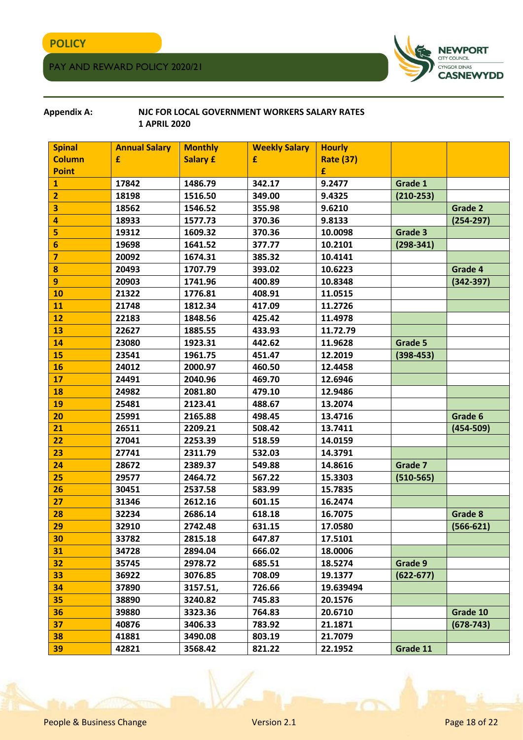

## **Appendix A: NJC FOR LOCAL GOVERNMENT WORKERS SALARY RATES 1 APRIL 2020**

| <b>Spinal</b>   | <b>Annual Salary</b> | <b>Monthly</b>  | <b>Weekly Salary</b> | <b>Hourly</b>    |               |               |
|-----------------|----------------------|-----------------|----------------------|------------------|---------------|---------------|
| <b>Column</b>   | £                    | <b>Salary £</b> | £                    | <b>Rate (37)</b> |               |               |
| <b>Point</b>    |                      |                 |                      | £                |               |               |
| 1               | 17842                | 1486.79         | 342.17               | 9.2477           | Grade 1       |               |
| $\overline{2}$  | 18198                | 1516.50         | 349.00               | 9.4325           | $(210-253)$   |               |
| 3               | 18562                | 1546.52         | 355.98               | 9.6210           |               | Grade 2       |
| 4               | 18933                | 1577.73         | 370.36               | 9.8133           |               | $(254 - 297)$ |
| 5               | 19312                | 1609.32         | 370.36               | 10.0098          | Grade 3       |               |
| 6               | 19698                | 1641.52         | 377.77               | 10.2101          | $(298-341)$   |               |
| $\overline{7}$  | 20092                | 1674.31         | 385.32               | 10.4141          |               |               |
| 8               | 20493                | 1707.79         | 393.02               | 10.6223          |               | Grade 4       |
| 9               | 20903                | 1741.96         | 400.89               | 10.8348          |               | $(342 - 397)$ |
| 10              | 21322                | 1776.81         | 408.91               | 11.0515          |               |               |
| 11              | 21748                | 1812.34         | 417.09               | 11.2726          |               |               |
| 12              | 22183                | 1848.56         | 425.42               | 11.4978          |               |               |
| 13              | 22627                | 1885.55         | 433.93               | 11.72.79         |               |               |
| 14              | 23080                | 1923.31         | 442.62               | 11.9628          | Grade 5       |               |
| 15              | 23541                | 1961.75         | 451.47               | 12.2019          | $(398-453)$   |               |
| 16              | 24012                | 2000.97         | 460.50               | 12.4458          |               |               |
| 17              | 24491                | 2040.96         | 469.70               | 12.6946          |               |               |
| 18              | 24982                | 2081.80         | 479.10               | 12.9486          |               |               |
| 19              | 25481                | 2123.41         | 488.67               | 13.2074          |               |               |
| 20              | 25991                | 2165.88         | 498.45               | 13.4716          |               | Grade 6       |
| 21              | 26511                | 2209.21         | 508.42               | 13.7411          |               | $(454 - 509)$ |
| 22              | 27041                | 2253.39         | 518.59               | 14.0159          |               |               |
| 23              | 27741                | 2311.79         | 532.03               | 14.3791          |               |               |
| 24              | 28672                | 2389.37         | 549.88               | 14.8616          | Grade 7       |               |
| 25              | 29577                | 2464.72         | 567.22               | 15.3303          | $(510-565)$   |               |
| 26              | 30451                | 2537.58         | 583.99               | 15.7835          |               |               |
| 27              | 31346                | 2612.16         | 601.15               | 16.2474          |               |               |
| 28              | 32234                | 2686.14         | 618.18               | 16.7075          |               | Grade 8       |
| 29              | 32910                | 2742.48         | 631.15               | 17.0580          |               | $(566-621)$   |
| 30              | 33782                | 2815.18         | 647.87               | 17.5101          |               |               |
| 31              | 34728                | 2894.04         | 666.02               | 18.0006          |               |               |
| 32 <sub>2</sub> | 35745                | 2978.72         | 685.51               | 18.5274          | Grade 9       |               |
| 33              | 36922                | 3076.85         | 708.09               | 19.1377          | $(622 - 677)$ |               |
| 34              | 37890                | 3157.51,        | 726.66               | 19.639494        |               |               |
| 35              | 38890                | 3240.82         | 745.83               | 20.1576          |               |               |
| 36              | 39880                | 3323.36         | 764.83               | 20.6710          |               | Grade 10      |
| 37              | 40876                | 3406.33         | 783.92               | 21.1871          |               | $(678 - 743)$ |
| 38              | 41881                | 3490.08         | 803.19               | 21.7079          |               |               |
| 39              | 42821                | 3568.42         | 821.22               | 22.1952          | Grade 11      |               |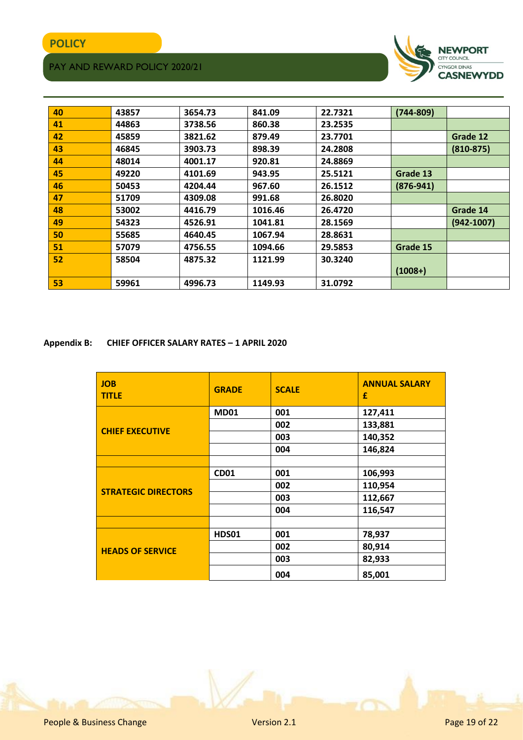

| 40 | 43857 | 3654.73 | 841.09  | 22.7321 | $(744 - 809)$ |                |
|----|-------|---------|---------|---------|---------------|----------------|
| 41 | 44863 | 3738.56 | 860.38  | 23.2535 |               |                |
| 42 | 45859 | 3821.62 | 879.49  | 23.7701 |               | Grade 12       |
| 43 | 46845 | 3903.73 | 898.39  | 24.2808 |               | $(810-875)$    |
| 44 | 48014 | 4001.17 | 920.81  | 24.8869 |               |                |
| 45 | 49220 | 4101.69 | 943.95  | 25.5121 | Grade 13      |                |
| 46 | 50453 | 4204.44 | 967.60  | 26.1512 | $(876-941)$   |                |
| 47 | 51709 | 4309.08 | 991.68  | 26.8020 |               |                |
| 48 | 53002 | 4416.79 | 1016.46 | 26.4720 |               | Grade 14       |
| 49 | 54323 | 4526.91 | 1041.81 | 28.1569 |               | $(942 - 1007)$ |
| 50 | 55685 | 4640.45 | 1067.94 | 28.8631 |               |                |
| 51 | 57079 | 4756.55 | 1094.66 | 29.5853 | Grade 15      |                |
| 52 | 58504 | 4875.32 | 1121.99 | 30.3240 |               |                |
|    |       |         |         |         | $(1008+)$     |                |
| 53 | 59961 | 4996.73 | 1149.93 | 31.0792 |               |                |

**Appendix B: CHIEF OFFICER SALARY RATES – 1 APRIL 2020**

| <b>JOB</b><br><b>TITLE</b> | <b>GRADE</b> | <b>SCALE</b> | <b>ANNUAL SALARY</b><br>£ |
|----------------------------|--------------|--------------|---------------------------|
|                            | <b>MD01</b>  | 001          | 127,411                   |
| <b>CHIEF EXECUTIVE</b>     |              | 002          | 133,881                   |
|                            |              | 003          | 140,352                   |
|                            |              | 004          | 146,824                   |
|                            |              |              |                           |
|                            | <b>CD01</b>  | 001          | 106,993                   |
| <b>STRATEGIC DIRECTORS</b> |              | 002          | 110,954                   |
|                            |              | 003          | 112,667                   |
|                            |              | 004          | 116,547                   |
|                            |              |              |                           |
|                            | <b>HDS01</b> | 001          | 78,937                    |
| <b>HEADS OF SERVICE</b>    |              | 002          | 80,914                    |
|                            |              | 003          | 82,933                    |
|                            |              | 004          | 85,001                    |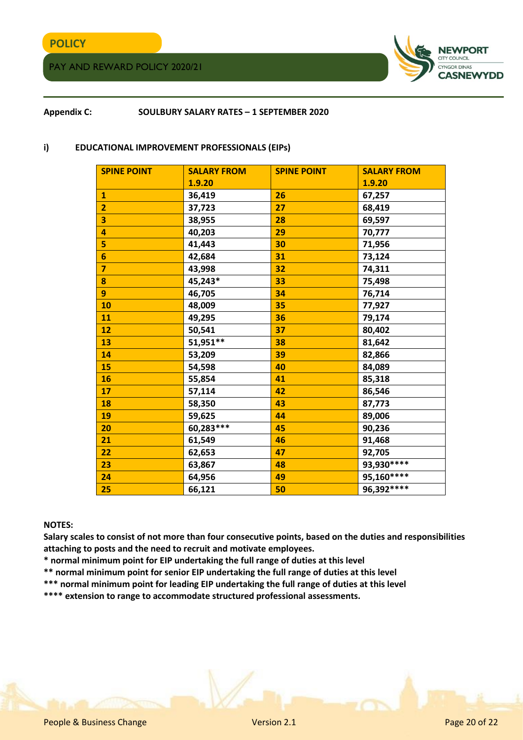# **POLICY**

PAY AND REWARD POLICY 2020/21



## **Appendix C: SOULBURY SALARY RATES – 1 SEPTEMBER 2020**

#### **i) EDUCATIONAL IMPROVEMENT PROFESSIONALS (EIPs)**

| <b>SPINE POINT</b>      | <b>SALARY FROM</b> | <b>SPINE POINT</b> | <b>SALARY FROM</b> |
|-------------------------|--------------------|--------------------|--------------------|
|                         | 1.9.20             |                    | 1.9.20             |
| $\mathbf{1}$            | 36,419             | 26                 | 67,257             |
| $\overline{2}$          | 37,723             | 27                 | 68,419             |
| 3                       | 38,955             | 28                 | 69,597             |
| $\overline{\mathbf{4}}$ | 40,203             | 29                 | 70,777             |
| 5                       | 41,443             | 30                 | 71,956             |
| $6\phantom{1}$          | 42,684             | 31                 | 73,124             |
| $\overline{7}$          | 43,998             | 32                 | 74,311             |
| 8                       | 45,243*            | 33                 | 75,498             |
| 9                       | 46,705             | 34                 | 76,714             |
| 10                      | 48,009             | 35                 | 77,927             |
| 11                      | 49,295             | 36                 | 79,174             |
| 12                      | 50,541             | 37                 | 80,402             |
| 13                      | 51,951**           | 38                 | 81,642             |
| 14                      | 53,209             | 39                 | 82,866             |
| 15                      | 54,598             | 40                 | 84,089             |
| 16                      | 55,854             | 41                 | 85,318             |
| 17                      | 57,114             | 42                 | 86,546             |
| 18                      | 58,350             | 43                 | 87,773             |
| 19                      | 59,625             | 44                 | 89,006             |
| 20                      | 60,283 ***         | 45                 | 90,236             |
| 21                      | 61,549             | 46                 | 91,468             |
| 22                      | 62,653             | 47                 | 92,705             |
| 23                      | 63,867             | 48                 | 93,930 ****        |
| 24                      | 64,956             | 49                 | 95,160****         |
| 25                      | 66,121             | 50                 | 96,392 ****        |

#### **NOTES:**

**Salary scales to consist of not more than four consecutive points, based on the duties and responsibilities attaching to posts and the need to recruit and motivate employees.** 

- **\* normal minimum point for EIP undertaking the full range of duties at this level**
- **\*\* normal minimum point for senior EIP undertaking the full range of duties at this level**
- **\*\*\* normal minimum point for leading EIP undertaking the full range of duties at this level**
- **\*\*\*\* extension to range to accommodate structured professional assessments.**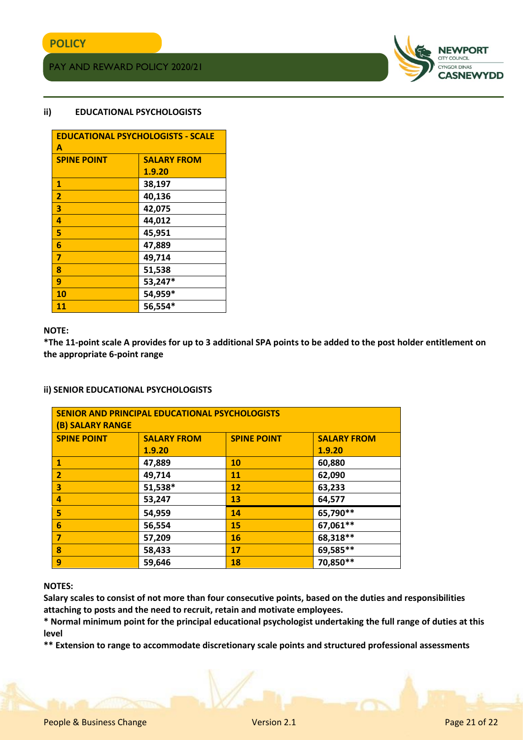

# **ii) EDUCATIONAL PSYCHOLOGISTS**

| <b>EDUCATIONAL PSYCHOLOGISTS - SCALE</b> |                    |  |
|------------------------------------------|--------------------|--|
| A                                        |                    |  |
| <b>SPINE POINT</b>                       | <b>SALARY FROM</b> |  |
|                                          | 1.9.20             |  |
| $\mathbf{1}$                             | 38,197             |  |
| $\overline{2}$                           | 40,136             |  |
| 3                                        | 42,075             |  |
| 4                                        | 44,012             |  |
| 5                                        | 45,951             |  |
| 6                                        | 47,889             |  |
| $\overline{7}$                           | 49,714             |  |
| 8                                        | 51,538             |  |
| 9                                        | 53,247*            |  |
| 10                                       | 54,959*            |  |
| 11                                       | 56,554*            |  |

#### **NOTE:**

**\*The 11-point scale A provides for up to 3 additional SPA points to be added to the post holder entitlement on the appropriate 6-point range**

#### **ii) SENIOR EDUCATIONAL PSYCHOLOGISTS**

| SENIOR AND PRINCIPAL EDUCATIONAL PSYCHOLOGISTS<br><b>(B) SALARY RANGE</b> |                    |                    |                    |  |
|---------------------------------------------------------------------------|--------------------|--------------------|--------------------|--|
| <b>SPINE POINT</b>                                                        | <b>SALARY FROM</b> | <b>SPINE POINT</b> | <b>SALARY FROM</b> |  |
|                                                                           | 1.9.20             |                    | 1.9.20             |  |
| $\mathbf{1}$                                                              | 47,889             | 10                 | 60,880             |  |
| $\overline{2}$                                                            | 49,714             | 11                 | 62,090             |  |
| 3                                                                         | 51,538*            | 12                 | 63,233             |  |
| 4                                                                         | 53,247             | 13                 | 64,577             |  |
| 5                                                                         | 54,959             | 14                 | 65,790**           |  |
| 6                                                                         | 56,554             | 15                 | 67,061**           |  |
| 7                                                                         | 57,209             | 16                 | 68,318**           |  |
| $\boldsymbol{8}$                                                          | 58,433             | 17                 | 69,585**           |  |
| 9                                                                         | 59,646             | 18                 | 70,850**           |  |

#### **NOTES:**

**Salary scales to consist of not more than four consecutive points, based on the duties and responsibilities attaching to posts and the need to recruit, retain and motivate employees.** 

**\* Normal minimum point for the principal educational psychologist undertaking the full range of duties at this level** 

**\*\* Extension to range to accommodate discretionary scale points and structured professional assessments**